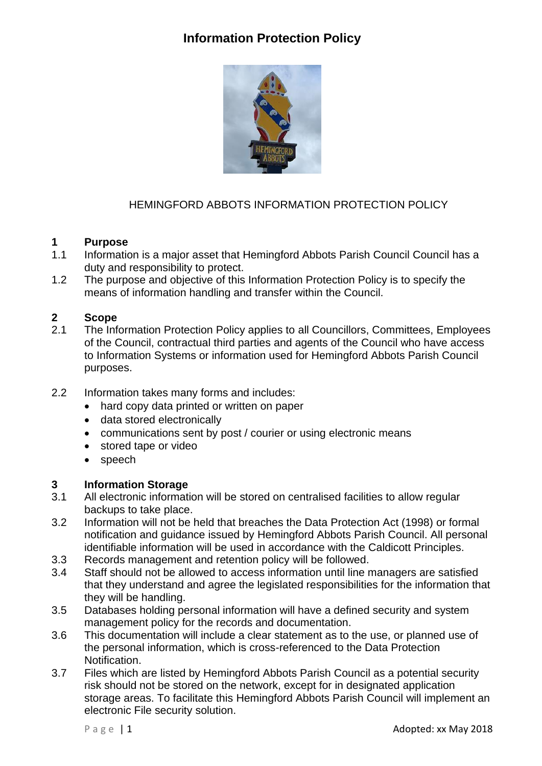# **Information Protection Policy**



## HEMINGFORD ABBOTS INFORMATION PROTECTION POLICY

#### **1 Purpose**

- 1.1 Information is a major asset that Hemingford Abbots Parish Council Council has a duty and responsibility to protect.
- 1.2 The purpose and objective of this Information Protection Policy is to specify the means of information handling and transfer within the Council.

#### **2 Scope**

- 2.1 The Information Protection Policy applies to all Councillors, Committees, Employees of the Council, contractual third parties and agents of the Council who have access to Information Systems or information used for Hemingford Abbots Parish Council purposes.
- 2.2 Information takes many forms and includes:
	- hard copy data printed or written on paper
	- data stored electronically
	- communications sent by post / courier or using electronic means
	- stored tape or video
	- speech

#### **3 Information Storage**

- 3.1 All electronic information will be stored on centralised facilities to allow regular backups to take place.
- 3.2 Information will not be held that breaches the Data Protection Act (1998) or formal notification and guidance issued by Hemingford Abbots Parish Council. All personal identifiable information will be used in accordance with the Caldicott Principles.
- 3.3 Records management and retention policy will be followed.
- 3.4 Staff should not be allowed to access information until line managers are satisfied that they understand and agree the legislated responsibilities for the information that they will be handling.
- 3.5 Databases holding personal information will have a defined security and system management policy for the records and documentation.
- 3.6 This documentation will include a clear statement as to the use, or planned use of the personal information, which is cross-referenced to the Data Protection Notification.
- 3.7 Files which are listed by Hemingford Abbots Parish Council as a potential security risk should not be stored on the network, except for in designated application storage areas. To facilitate this Hemingford Abbots Parish Council will implement an electronic File security solution.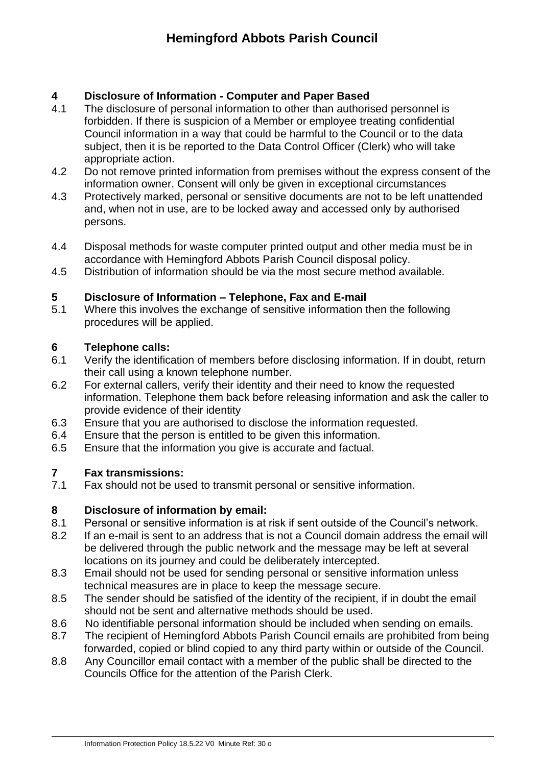## **4 Disclosure of Information - Computer and Paper Based**

- 4.1 The disclosure of personal information to other than authorised personnel is forbidden. If there is suspicion of a Member or employee treating confidential Council information in a way that could be harmful to the Council or to the data subject, then it is be reported to the Data Control Officer (Clerk) who will take appropriate action.
- 4.2 Do not remove printed information from premises without the express consent of the information owner. Consent will only be given in exceptional circumstances
- 4.3 Protectively marked, personal or sensitive documents are not to be left unattended and, when not in use, are to be locked away and accessed only by authorised persons.
- 4.4 Disposal methods for waste computer printed output and other media must be in accordance with Hemingford Abbots Parish Council disposal policy.
- 4.5 Distribution of information should be via the most secure method available.

## **5 Disclosure of Information – Telephone, Fax and E-mail**

5.1 Where this involves the exchange of sensitive information then the following procedures will be applied.

## **6 Telephone calls:**

- 6.1 Verify the identification of members before disclosing information. If in doubt, return their call using a known telephone number.
- 6.2 For external callers, verify their identity and their need to know the requested information. Telephone them back before releasing information and ask the caller to provide evidence of their identity
- 6.3 Ensure that you are authorised to disclose the information requested.
- 6.4 Ensure that the person is entitled to be given this information.
- 6.5 Ensure that the information you give is accurate and factual.

## **7 Fax transmissions:**

7.1 Fax should not be used to transmit personal or sensitive information.

## **8 Disclosure of information by email:**

- 8.1 Personal or sensitive information is at risk if sent outside of the Council's network.
- 8.2 If an e-mail is sent to an address that is not a Council domain address the email will be delivered through the public network and the message may be left at several locations on its journey and could be deliberately intercepted.
- 8.3 Email should not be used for sending personal or sensitive information unless technical measures are in place to keep the message secure.
- 8.5 The sender should be satisfied of the identity of the recipient, if in doubt the email should not be sent and alternative methods should be used.
- 8.6 No identifiable personal information should be included when sending on emails.
- 8.7 The recipient of Hemingford Abbots Parish Council emails are prohibited from being forwarded, copied or blind copied to any third party within or outside of the Council.
- 8.8 Any Councillor email contact with a member of the public shall be directed to the Councils Office for the attention of the Parish Clerk.